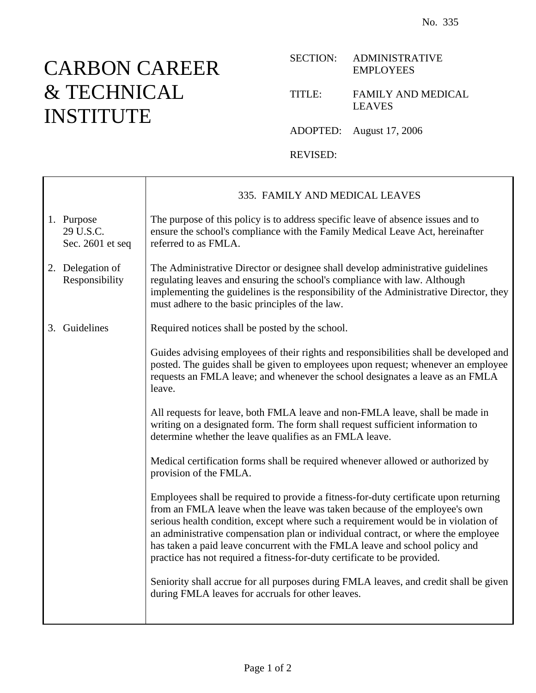## CARBON CAREER & TECHNICAL INSTITUTE

Г

## SECTION: ADMINISTRATIVE EMPLOYEES

## TITLE: FAMILY AND MEDICAL LEAVES

ADOPTED: August 17, 2006

REVISED:

|                                             | 335. FAMILY AND MEDICAL LEAVES                                                                                                                                                                                                                                                                                                                                                                                                                                                                          |
|---------------------------------------------|---------------------------------------------------------------------------------------------------------------------------------------------------------------------------------------------------------------------------------------------------------------------------------------------------------------------------------------------------------------------------------------------------------------------------------------------------------------------------------------------------------|
| 1. Purpose<br>29 U.S.C.<br>Sec. 2601 et seq | The purpose of this policy is to address specific leave of absence issues and to<br>ensure the school's compliance with the Family Medical Leave Act, hereinafter<br>referred to as FMLA.                                                                                                                                                                                                                                                                                                               |
| 2. Delegation of<br>Responsibility          | The Administrative Director or designee shall develop administrative guidelines<br>regulating leaves and ensuring the school's compliance with law. Although<br>implementing the guidelines is the responsibility of the Administrative Director, they<br>must adhere to the basic principles of the law.                                                                                                                                                                                               |
| 3. Guidelines                               | Required notices shall be posted by the school.                                                                                                                                                                                                                                                                                                                                                                                                                                                         |
|                                             | Guides advising employees of their rights and responsibilities shall be developed and<br>posted. The guides shall be given to employees upon request; whenever an employee<br>requests an FMLA leave; and whenever the school designates a leave as an FMLA<br>leave.                                                                                                                                                                                                                                   |
|                                             | All requests for leave, both FMLA leave and non-FMLA leave, shall be made in<br>writing on a designated form. The form shall request sufficient information to<br>determine whether the leave qualifies as an FMLA leave.                                                                                                                                                                                                                                                                               |
|                                             | Medical certification forms shall be required whenever allowed or authorized by<br>provision of the FMLA.                                                                                                                                                                                                                                                                                                                                                                                               |
|                                             | Employees shall be required to provide a fitness-for-duty certificate upon returning<br>from an FMLA leave when the leave was taken because of the employee's own<br>serious health condition, except where such a requirement would be in violation of<br>an administrative compensation plan or individual contract, or where the employee<br>has taken a paid leave concurrent with the FMLA leave and school policy and<br>practice has not required a fitness-for-duty certificate to be provided. |
|                                             | Seniority shall accrue for all purposes during FMLA leaves, and credit shall be given<br>during FMLA leaves for accruals for other leaves.                                                                                                                                                                                                                                                                                                                                                              |
|                                             |                                                                                                                                                                                                                                                                                                                                                                                                                                                                                                         |